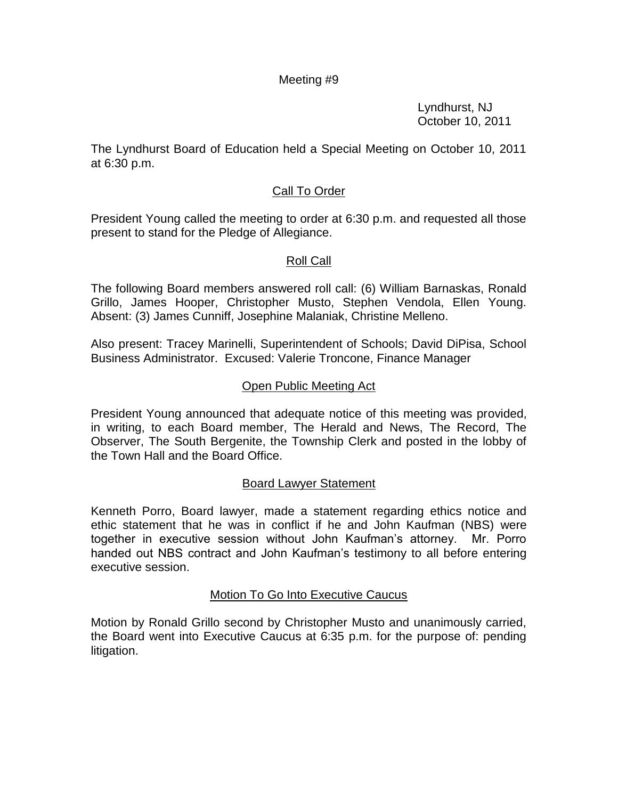### Meeting #9

Lyndhurst, NJ October 10, 2011

The Lyndhurst Board of Education held a Special Meeting on October 10, 2011 at 6:30 p.m.

### Call To Order

President Young called the meeting to order at 6:30 p.m. and requested all those present to stand for the Pledge of Allegiance.

### Roll Call

The following Board members answered roll call: (6) William Barnaskas, Ronald Grillo, James Hooper, Christopher Musto, Stephen Vendola, Ellen Young. Absent: (3) James Cunniff, Josephine Malaniak, Christine Melleno.

Also present: Tracey Marinelli, Superintendent of Schools; David DiPisa, School Business Administrator. Excused: Valerie Troncone, Finance Manager

### Open Public Meeting Act

President Young announced that adequate notice of this meeting was provided, in writing, to each Board member, The Herald and News, The Record, The Observer, The South Bergenite, the Township Clerk and posted in the lobby of the Town Hall and the Board Office.

### Board Lawyer Statement

Kenneth Porro, Board lawyer, made a statement regarding ethics notice and ethic statement that he was in conflict if he and John Kaufman (NBS) were together in executive session without John Kaufman's attorney. Mr. Porro handed out NBS contract and John Kaufman's testimony to all before entering executive session.

### Motion To Go Into Executive Caucus

Motion by Ronald Grillo second by Christopher Musto and unanimously carried, the Board went into Executive Caucus at 6:35 p.m. for the purpose of: pending litigation.